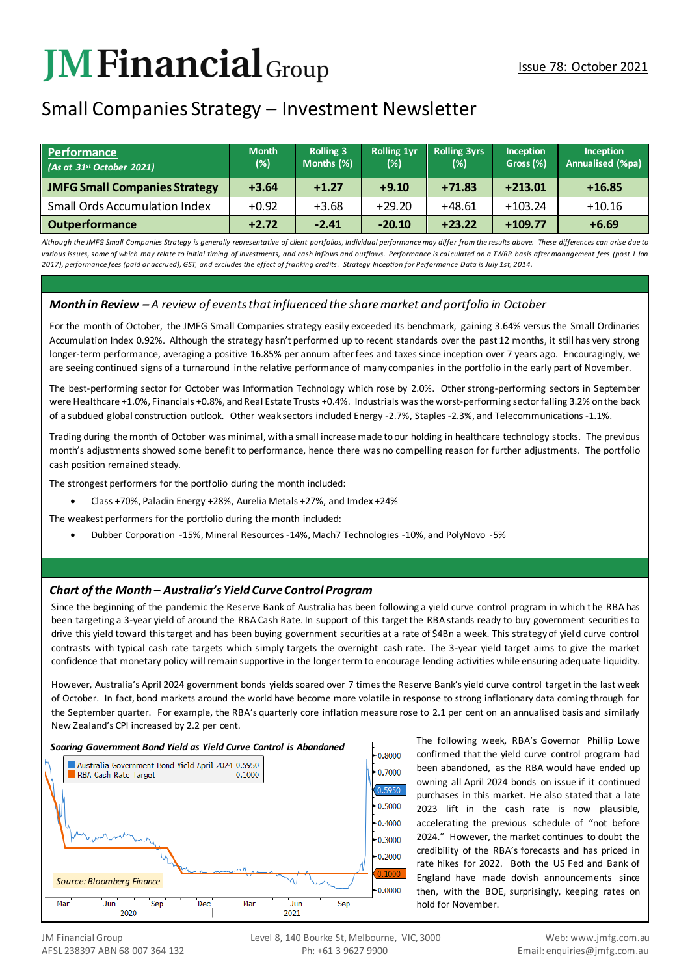# **JMFinancial**Group

# Small Companies Strategy – Investment Newsletter

| Performance<br>$(As$ at 31st October 2021) | <b>Month</b><br>(%) | <b>Rolling 3</b><br>Months (%) | <b>Rolling 1yr</b><br>(%) | <b>Rolling 3yrs</b><br>(%) | Inception<br>Gross (%) | Inception<br>Annualised (%pa) |
|--------------------------------------------|---------------------|--------------------------------|---------------------------|----------------------------|------------------------|-------------------------------|
| <b>JMFG Small Companies Strategy</b>       | $+3.64$             | $+1.27$                        | $+9.10$                   | $+71.83$                   | $+213.01$              | $+16.85$                      |
| <b>Small Ords Accumulation Index</b>       | $+0.92$             | $+3.68$                        | $+29.20$                  | $+48.61$                   | $+103.24$              | $+10.16$                      |
| <b>Outperformance</b>                      | $+2.72$             | $-2.41$                        | $-20.10$                  | $+23.22$                   | $+109.77$              | $+6.69$                       |

*Although the JMFG Small Companies Strategy is generally representative of client portfolios, Individual performance may differ from the results above. These differences can arise due to*  various issues, some of which may relate to initial timing of investments, and cash inflows and outflows. Performance is cal culated on a TWRR basis after management fees (post 1 Jan *2017), performance fees (paid or accrued), GST, and excludes the effect of franking credits. Strategy Inception for Performance Data is July 1st, 2014.*

### *Month in Review – A review of events that influenced the share market and portfolio in October*

For the month of October, the JMFG Small Companies strategy easily exceeded its benchmark, gaining 3.64% versus the Small Ordinaries Accumulation Index 0.92%. Although the strategy hasn't performed up to recent standards over the past 12 months, it still has very strong longer-term performance, averaging a positive 16.85% per annum after fees and taxes since inception over 7 years ago. Encouragingly, we are seeing continued signs of a turnaround in the relative performance of many companies in the portfolio in the early part of November.

The best-performing sector for October was Information Technology which rose by 2.0%. Other strong-performing sectors in September were Healthcare +1.0%, Financials +0.8%, and Real Estate Trusts +0.4%. Industrials was the worst-performing sector falling 3.2% on the back of a subdued global construction outlook. Other weak sectors included Energy -2.7%, Staples -2.3%, and Telecommunications -1.1%.

Trading during the month of October was minimal, with a small increase made to our holding in healthcare technology stocks. The previous month's adjustments showed some benefit to performance, hence there was no compelling reason for further adjustments. The portfolio cash position remained steady.

The strongest performers for the portfolio during the month included:

• Class +70%, Paladin Energy +28%, Aurelia Metals +27%, and Imdex +24%

The weakest performers for the portfolio during the month included:

• Dubber Corporation -15%, Mineral Resources -14%, Mach7 Technologies -10%, and PolyNovo -5%

## *Chart of the Month – Australia's Yield Curve Control Program*

Since the beginning of the pandemic the Reserve Bank of Australia has been following a yield curve control program in which the RBA has been targeting a 3-year yield of around the RBA Cash Rate. In support of this target the RBA stands ready to buy government securities to drive this yield toward this target and has been buying government securities at a rate of \$4Bn a week. This strategy of yiel d curve control contrasts with typical cash rate targets which simply targets the overnight cash rate. The 3-year yield target aims to give the market confidence that monetary policy will remain supportive in the longer term to encourage lending activities while ensuring adequate liquidity.

However, Australia's April 2024 government bonds yields soared over 7 times the Reserve Bank's yield curve control target in the last week of October. In fact, bond markets around the world have become more volatile in response to strong inflationary data coming through for the September quarter. For example, the RBA's quarterly core inflation measure rose to 2.1 per cent on an annualised basis and similarly New Zealand's CPI increased by 2.2 per cent.

#### *Soaring Government Bond Yield as Yield Curve Control is Abandoned*



The following week, RBA's Governor Phillip Lowe confirmed that the yield curve control program had been abandoned, as the RBA would have ended up owning all April 2024 bonds on issue if it continued purchases in this market. He also stated that a late 2023 lift in the cash rate is now plausible, accelerating the previous schedule of "not before 2024." However, the market continues to doubt the credibility of the RBA's forecasts and has priced in rate hikes for 2022. Both the US Fed and Bank of England have made dovish announcements since then, with the BOE, surprisingly, keeping rates on hold for November.